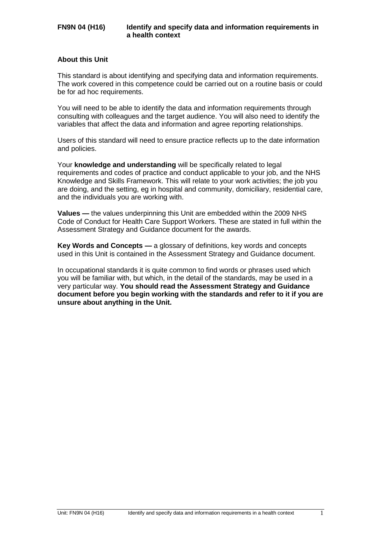## **About this Unit**

This standard is about identifying and specifying data and information requirements. The work covered in this competence could be carried out on a routine basis or could be for ad hoc requirements.

You will need to be able to identify the data and information requirements through consulting with colleagues and the target audience. You will also need to identify the variables that affect the data and information and agree reporting relationships.

Users of this standard will need to ensure practice reflects up to the date information and policies.

Your **knowledge and understanding** will be specifically related to legal requirements and codes of practice and conduct applicable to your job, and the NHS Knowledge and Skills Framework. This will relate to your work activities; the job you are doing, and the setting, eg in hospital and community, domiciliary, residential care, and the individuals you are working with.

**Values —** the values underpinning this Unit are embedded within the 2009 NHS Code of Conduct for Health Care Support Workers. These are stated in full within the Assessment Strategy and Guidance document for the awards.

**Key Words and Concepts —** a glossary of definitions, key words and concepts used in this Unit is contained in the Assessment Strategy and Guidance document.

In occupational standards it is quite common to find words or phrases used which you will be familiar with, but which, in the detail of the standards, may be used in a very particular way. **You should read the Assessment Strategy and Guidance document before you begin working with the standards and refer to it if you are unsure about anything in the Unit.**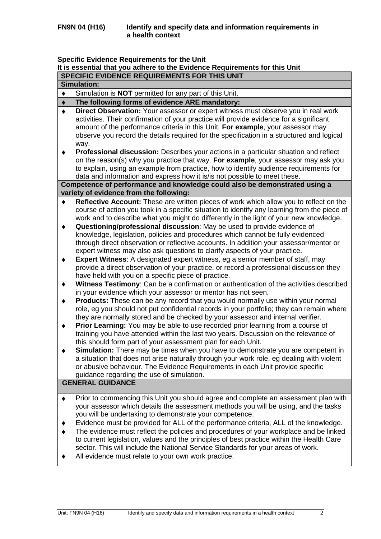## **Specific Evidence Requirements for the Unit**

|                 | It is essential that you adhere to the Evidence Requirements for this Unit                                                                                                                                                                                                                                                                                                                                                                                                                                                                                                                                                                                     |
|-----------------|----------------------------------------------------------------------------------------------------------------------------------------------------------------------------------------------------------------------------------------------------------------------------------------------------------------------------------------------------------------------------------------------------------------------------------------------------------------------------------------------------------------------------------------------------------------------------------------------------------------------------------------------------------------|
|                 | SPECIFIC EVIDENCE REQUIREMENTS FOR THIS UNIT                                                                                                                                                                                                                                                                                                                                                                                                                                                                                                                                                                                                                   |
|                 | <b>Simulation:</b>                                                                                                                                                                                                                                                                                                                                                                                                                                                                                                                                                                                                                                             |
| $\blacklozenge$ | Simulation is <b>NOT</b> permitted for any part of this Unit.                                                                                                                                                                                                                                                                                                                                                                                                                                                                                                                                                                                                  |
| $\bullet$       | The following forms of evidence ARE mandatory:                                                                                                                                                                                                                                                                                                                                                                                                                                                                                                                                                                                                                 |
| $\blacklozenge$ | Direct Observation: Your assessor or expert witness must observe you in real work<br>activities. Their confirmation of your practice will provide evidence for a significant<br>amount of the performance criteria in this Unit. For example, your assessor may<br>observe you record the details required for the specification in a structured and logical<br>way.                                                                                                                                                                                                                                                                                           |
|                 | Professional discussion: Describes your actions in a particular situation and reflect<br>on the reason(s) why you practice that way. For example, your assessor may ask you<br>to explain, using an example from practice, how to identify audience requirements for<br>data and information and express how it is/is not possible to meet these.                                                                                                                                                                                                                                                                                                              |
|                 | Competence of performance and knowledge could also be demonstrated using a<br>variety of evidence from the following:                                                                                                                                                                                                                                                                                                                                                                                                                                                                                                                                          |
| ٠               | Reflective Account: These are written pieces of work which allow you to reflect on the<br>course of action you took in a specific situation to identify any learning from the piece of<br>work and to describe what you might do differently in the light of your new knowledge.                                                                                                                                                                                                                                                                                                                                                                               |
|                 | Questioning/professional discussion: May be used to provide evidence of<br>knowledge, legislation, policies and procedures which cannot be fully evidenced<br>through direct observation or reflective accounts. In addition your assessor/mentor or<br>expert witness may also ask questions to clarify aspects of your practice.                                                                                                                                                                                                                                                                                                                             |
| ٠               | Expert Witness: A designated expert witness, eg a senior member of staff, may<br>provide a direct observation of your practice, or record a professional discussion they<br>have held with you on a specific piece of practice.<br>Witness Testimony: Can be a confirmation or authentication of the activities described                                                                                                                                                                                                                                                                                                                                      |
|                 | in your evidence which your assessor or mentor has not seen.                                                                                                                                                                                                                                                                                                                                                                                                                                                                                                                                                                                                   |
| ٠               | <b>Products:</b> These can be any record that you would normally use within your normal<br>role, eg you should not put confidential records in your portfolio; they can remain where<br>they are normally stored and be checked by your assessor and internal verifier.                                                                                                                                                                                                                                                                                                                                                                                        |
| ٠               | Prior Learning: You may be able to use recorded prior learning from a course of<br>training you have attended within the last two years. Discussion on the relevance of<br>this should form part of your assessment plan for each Unit.                                                                                                                                                                                                                                                                                                                                                                                                                        |
|                 | Simulation: There may be times when you have to demonstrate you are competent in<br>a situation that does not arise naturally through your work role, eg dealing with violent<br>or abusive behaviour. The Evidence Requirements in each Unit provide specific<br>guidance regarding the use of simulation.                                                                                                                                                                                                                                                                                                                                                    |
|                 | <b>GENERAL GUIDANCE</b>                                                                                                                                                                                                                                                                                                                                                                                                                                                                                                                                                                                                                                        |
| ٠               | Prior to commencing this Unit you should agree and complete an assessment plan with<br>your assessor which details the assessment methods you will be using, and the tasks<br>you will be undertaking to demonstrate your competence.<br>Evidence must be provided for ALL of the performance criteria, ALL of the knowledge.<br>The evidence must reflect the policies and procedures of your workplace and be linked<br>to current legislation, values and the principles of best practice within the Health Care<br>sector. This will include the National Service Standards for your areas of work.<br>All evidence must relate to your own work practice. |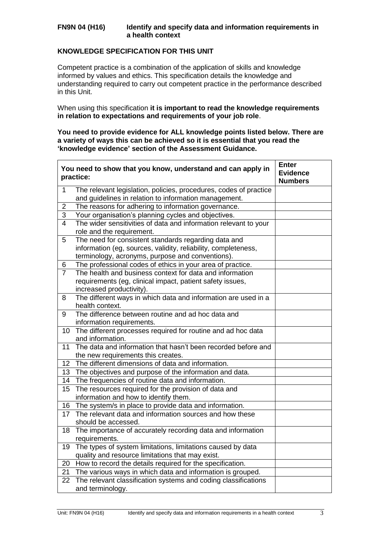## **FN9N 04 (H16) Identify and specify data and information requirements in a health context**

## **KNOWLEDGE SPECIFICATION FOR THIS UNIT**

Competent practice is a combination of the application of skills and knowledge informed by values and ethics. This specification details the knowledge and understanding required to carry out competent practice in the performance described in this Unit.

When using this specification **it is important to read the knowledge requirements in relation to expectations and requirements of your job role**.

**You need to provide evidence for ALL knowledge points listed below. There are a variety of ways this can be achieved so it is essential that you read the 'knowledge evidence' section of the Assessment Guidance.**

|                 | You need to show that you know, understand and can apply in<br>practice:                      | <b>Enter</b><br><b>Evidence</b><br><b>Numbers</b> |
|-----------------|-----------------------------------------------------------------------------------------------|---------------------------------------------------|
| $\mathbf{1}$    | The relevant legislation, policies, procedures, codes of practice                             |                                                   |
|                 | and guidelines in relation to information management.                                         |                                                   |
| $\overline{c}$  | The reasons for adhering to information governance.                                           |                                                   |
| 3               | Your organisation's planning cycles and objectives.                                           |                                                   |
| 4               | The wider sensitivities of data and information relevant to your<br>role and the requirement. |                                                   |
| 5               | The need for consistent standards regarding data and                                          |                                                   |
|                 | information (eg, sources, validity, reliability, completeness,                                |                                                   |
|                 | terminology, acronyms, purpose and conventions).                                              |                                                   |
| 6               | The professional codes of ethics in your area of practice.                                    |                                                   |
| $\overline{7}$  | The health and business context for data and information                                      |                                                   |
|                 | requirements (eg, clinical impact, patient safety issues,<br>increased productivity).         |                                                   |
| 8               | The different ways in which data and information are used in a                                |                                                   |
|                 | health context.                                                                               |                                                   |
| 9               | The difference between routine and ad hoc data and                                            |                                                   |
|                 | information requirements.                                                                     |                                                   |
| 10 <sup>°</sup> | The different processes required for routine and ad hoc data                                  |                                                   |
|                 | and information.                                                                              |                                                   |
| 11              | The data and information that hasn't been recorded before and                                 |                                                   |
|                 | the new requirements this creates.                                                            |                                                   |
| 12 <sub>2</sub> | The different dimensions of data and information.                                             |                                                   |
| 13              | The objectives and purpose of the information and data.                                       |                                                   |
| 14              | The frequencies of routine data and information.                                              |                                                   |
| 15              | The resources required for the provision of data and                                          |                                                   |
|                 | information and how to identify them.                                                         |                                                   |
| 16              | The system/s in place to provide data and information.                                        |                                                   |
| 17              | The relevant data and information sources and how these                                       |                                                   |
|                 | should be accessed.                                                                           |                                                   |
| 18              | The importance of accurately recording data and information                                   |                                                   |
|                 | requirements.                                                                                 |                                                   |
| 19              | The types of system limitations, limitations caused by data                                   |                                                   |
|                 | quality and resource limitations that may exist.                                              |                                                   |
|                 | 20 How to record the details required for the specification.                                  |                                                   |
| 21              | The various ways in which data and information is grouped.                                    |                                                   |
| 22              | The relevant classification systems and coding classifications                                |                                                   |
|                 | and terminology.                                                                              |                                                   |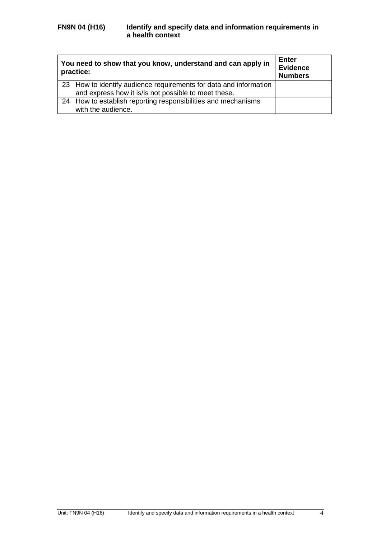| You need to show that you know, understand and can apply in<br>practice: | <b>Enter</b><br><b>Evidence</b><br><b>Numbers</b> |
|--------------------------------------------------------------------------|---------------------------------------------------|
| 23 How to identify audience requirements for data and information        |                                                   |
| and express how it is/is not possible to meet these.                     |                                                   |
| 24 How to establish reporting responsibilities and mechanisms            |                                                   |
| with the audience.                                                       |                                                   |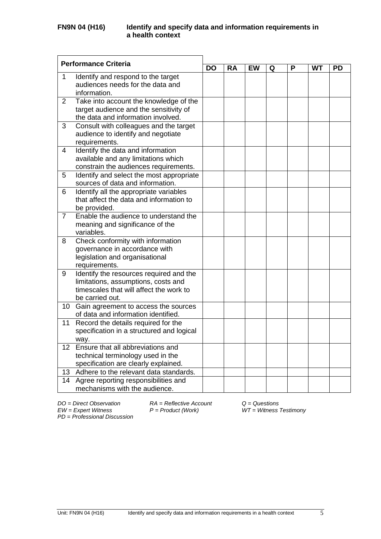| <b>Performance Criteria</b> |                                                                                                                                              |           |           |           |   |   |           |           |
|-----------------------------|----------------------------------------------------------------------------------------------------------------------------------------------|-----------|-----------|-----------|---|---|-----------|-----------|
|                             |                                                                                                                                              | <b>DO</b> | <b>RA</b> | <b>EW</b> | Q | P | <b>WT</b> | <b>PD</b> |
| 1                           | Identify and respond to the target<br>audiences needs for the data and<br>information.                                                       |           |           |           |   |   |           |           |
| $\overline{2}$              | Take into account the knowledge of the<br>target audience and the sensitivity of<br>the data and information involved.                       |           |           |           |   |   |           |           |
| 3                           | Consult with colleagues and the target<br>audience to identify and negotiate<br>requirements.                                                |           |           |           |   |   |           |           |
| 4                           | Identify the data and information<br>available and any limitations which<br>constrain the audiences requirements.                            |           |           |           |   |   |           |           |
| 5                           | Identify and select the most appropriate<br>sources of data and information.                                                                 |           |           |           |   |   |           |           |
| 6                           | Identify all the appropriate variables<br>that affect the data and information to<br>be provided.                                            |           |           |           |   |   |           |           |
| $\overline{7}$              | Enable the audience to understand the<br>meaning and significance of the<br>variables.                                                       |           |           |           |   |   |           |           |
| 8                           | Check conformity with information<br>governance in accordance with<br>legislation and organisational<br>requirements.                        |           |           |           |   |   |           |           |
| 9                           | Identify the resources required and the<br>limitations, assumptions, costs and<br>timescales that will affect the work to<br>be carried out. |           |           |           |   |   |           |           |
| 10 <sup>°</sup>             | Gain agreement to access the sources<br>of data and information identified.                                                                  |           |           |           |   |   |           |           |
| 11                          | Record the details required for the<br>specification in a structured and logical<br>way.                                                     |           |           |           |   |   |           |           |
| 12                          | Ensure that all abbreviations and<br>technical terminology used in the<br>specification are clearly explained.                               |           |           |           |   |   |           |           |
|                             | 13 Adhere to the relevant data standards.                                                                                                    |           |           |           |   |   |           |           |
| 14                          | Agree reporting responsibilities and<br>mechanisms with the audience.                                                                        |           |           |           |   |   |           |           |

*PD* = *Professional Discussion*

*DO = Direct Observation RA = Reflective Account Q = Questions*

*EW = Expert Witness P = Product (Work) WT = Witness Testimony*